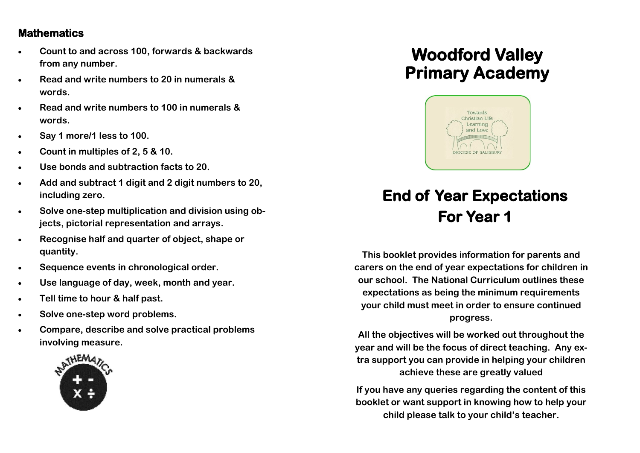#### **Mathematics**

- **Count to and across 100, forwards & backwards from any number.**
- **Read and write numbers to 20 in numerals & words.**
- **Read and write numbers to 100 in numerals & words.**
- **Say 1 more/1 less to 100.**
- **Count in multiples of 2, 5 & 10.**
- **Use bonds and subtraction facts to 20.**
- **Add and subtract 1 digit and 2 digit numbers to 20, including zero.**
- **Solve one-step multiplication and division using objects, pictorial representation and arrays.**
- **Recognise half and quarter of object, shape or quantity.**
- **Sequence events in chronological order.**
- **Use language of day, week, month and year.**
- **Tell time to hour & half past.**
- **Solve one-step word problems.**
- **Compare, describe and solve practical problems involving measure.**



## **Woodford Valley Primary Academy**



# **End of Year Expectations For Year 1**

**This booklet provides information for parents and carers on the end of year expectations for children in our school. The National Curriculum outlines these expectations as being the minimum requirements your child must meet in order to ensure continued progress.** 

**All the objectives will be worked out throughout the year and will be the focus of direct teaching. Any extra support you can provide in helping your children achieve these are greatly valued**

**If you have any queries regarding the content of this booklet or want support in knowing how to help your child please talk to your child's teacher.**